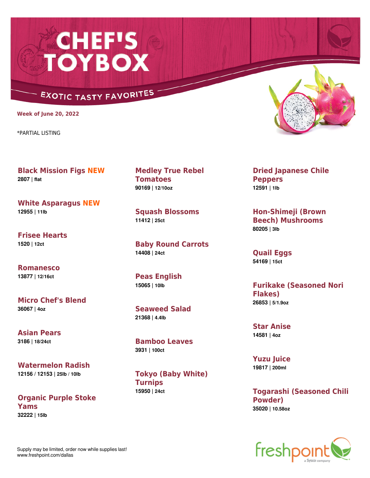## **CHEF'S<br>TOYBOX**

## **EXOTIC TASTY FAVORITES**

**Week of June 20, 2022**

\*PARTIAL LISTING

**Black Mission Figs NEW 2807 | flat**

**White Asparagus NEW 12955 | 11lb**

**Frisee Hearts 1520 | 12ct**

**Romanesco 13877 | 12/16ct**

**Micro Chef's Blend 36067 | 4oz**

**Asian Pears 3186 | 18/24ct**

**Watermelon Radish 12156 / 12153 | 25lb / 10lb**

**Organic Purple Stoke Yams 32222 | 15lb**

**Medley True Rebel Tomatoes 90169 | 12/10oz**

**Squash Blossoms 11412 | 25ct**

**Baby Round Carrots 14408 | 24ct**

**Peas English 15065 | 10lb**

**Seaweed Salad 21368 | 4.4lb**

**Bamboo Leaves 3931 | 100ct**

**Tokyo (Baby White) Turnips 15950 | 24ct**



**Dried Japanese Chile Peppers 12591 | 1lb**

**Hon-Shimeji (Brown Beech) Mushrooms 80205 | 3lb**

**Quail Eggs 54169 | 15ct**

**Furikake (Seasoned Nori Flakes) 26853 | 5/1.9oz**

**Star Anise 14581 | 4oz**

**Yuzu Juice 19817 | 200ml**

**Togarashi (Seasoned Chili Powder) 35020 | 10.58oz**